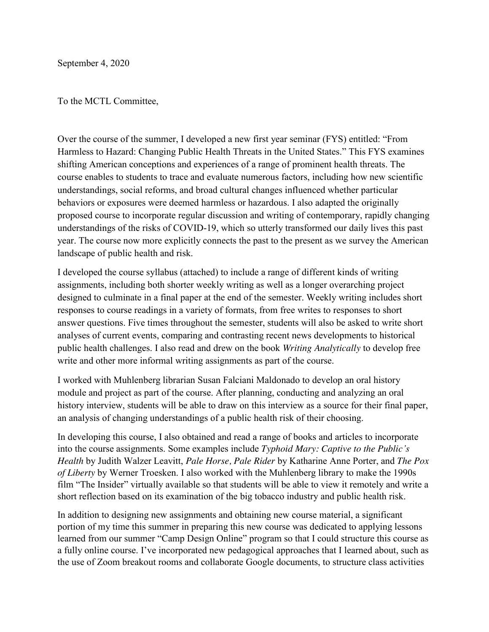September 4, 2020

To the MCTL Committee,

Over the course of the summer, I developed a new first year seminar (FYS) entitled: "From Harmless to Hazard: Changing Public Health Threats in the United States." This FYS examines shifting American conceptions and experiences of a range of prominent health threats. The course enables to students to trace and evaluate numerous factors, including how new scientific understandings, social reforms, and broad cultural changes influenced whether particular behaviors or exposures were deemed harmless or hazardous. I also adapted the originally proposed course to incorporate regular discussion and writing of contemporary, rapidly changing understandings of the risks of COVID-19, which so utterly transformed our daily lives this past year. The course now more explicitly connects the past to the present as we survey the American landscape of public health and risk.

I developed the course syllabus (attached) to include a range of different kinds of writing assignments, including both shorter weekly writing as well as a longer overarching project designed to culminate in a final paper at the end of the semester. Weekly writing includes short responses to course readings in a variety of formats, from free writes to responses to short answer questions. Five times throughout the semester, students will also be asked to write short analyses of current events, comparing and contrasting recent news developments to historical public health challenges. I also read and drew on the book *Writing Analytically* to develop free write and other more informal writing assignments as part of the course.

I worked with Muhlenberg librarian Susan Falciani Maldonado to develop an oral history module and project as part of the course. After planning, conducting and analyzing an oral history interview, students will be able to draw on this interview as a source for their final paper, an analysis of changing understandings of a public health risk of their choosing.

In developing this course, I also obtained and read a range of books and articles to incorporate into the course assignments. Some examples include *Typhoid Mary: Captive to the Public's Health* by Judith Walzer Leavitt, *Pale Horse, Pale Rider* by Katharine Anne Porter, and *The Pox of Liberty* by Werner Troesken. I also worked with the Muhlenberg library to make the 1990s film "The Insider" virtually available so that students will be able to view it remotely and write a short reflection based on its examination of the big tobacco industry and public health risk.

In addition to designing new assignments and obtaining new course material, a significant portion of my time this summer in preparing this new course was dedicated to applying lessons learned from our summer "Camp Design Online" program so that I could structure this course as a fully online course. I've incorporated new pedagogical approaches that I learned about, such as the use of Zoom breakout rooms and collaborate Google documents, to structure class activities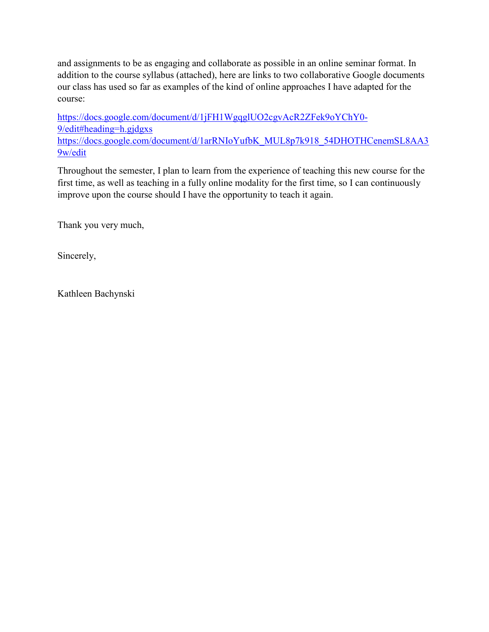and assignments to be as engaging and collaborate as possible in an online seminar format. In addition to the course syllabus (attached), here are links to two collaborative Google documents our class has used so far as examples of the kind of online approaches I have adapted for the course:

[https://docs.google.com/document/d/1jFH1WgqglUO2cgvAcR2ZFek9oYChY0-](https://docs.google.com/document/d/1jFH1WgqglUO2cgvAcR2ZFek9oYChY0-9/edit#heading=h.gjdgxs) [9/edit#heading=h.gjdgxs](https://docs.google.com/document/d/1jFH1WgqglUO2cgvAcR2ZFek9oYChY0-9/edit#heading=h.gjdgxs) [https://docs.google.com/document/d/1arRNIoYufbK\\_MUL8p7k918\\_54DHOTHCenemSL8AA3](https://docs.google.com/document/d/1arRNIoYufbK_MUL8p7k918_54DHOTHCenemSL8AA39w/edit)\_ [9w/edit](https://docs.google.com/document/d/1arRNIoYufbK_MUL8p7k918_54DHOTHCenemSL8AA39w/edit)

Throughout the semester, I plan to learn from the experience of teaching this new course for the first time, as well as teaching in a fully online modality for the first time, so I can continuously improve upon the course should I have the opportunity to teach it again.

Thank you very much,

Sincerely,

Kathleen Bachynski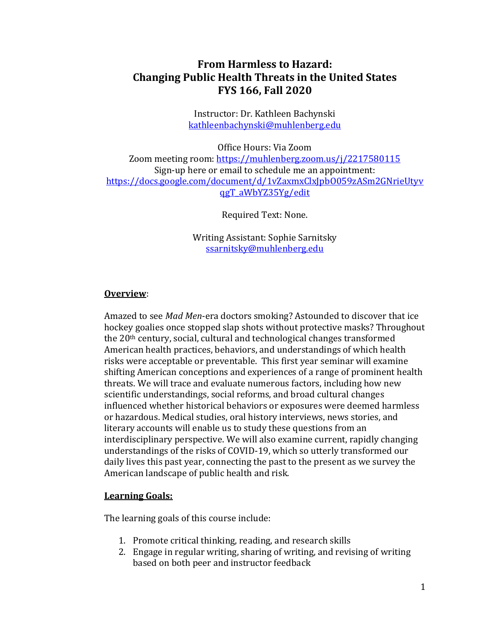# **From Harmless to Hazard: Changing Public Health Threats in the United States FYS 166, Fall 2020**

Instructor: Dr. Kathleen Bachynski [kathleenbachynski@muhlenberg.edu](mailto:kathleenbachynski@muhlenberg.edu)

Office Hours: Via Zoom Zoom meeting room:<https://muhlenberg.zoom.us/j/2217580115> Sign-up here or email to schedule me an appointment: [https://docs.google.com/document/d/1vZaxmxClxJpbO059zASm2GNrieUtyv](https://docs.google.com/document/d/1vZaxmxClxJpbO059zASm2GNrieUtyvqgT_aWbYZ35Yg/edit) [qgT\\_aWbYZ35Yg/edit](https://docs.google.com/document/d/1vZaxmxClxJpbO059zASm2GNrieUtyvqgT_aWbYZ35Yg/edit)

Required Text: None.

Writing Assistant: Sophie Sarnitsky [ssarnitsky@muhlenberg.edu](mailto:ssarnitsky@muhlenberg.edu)

# **Overview**:

Amazed to see *Mad Men*-era doctors smoking? Astounded to discover that ice hockey goalies once stopped slap shots without protective masks? Throughout the 20th century, social, cultural and technological changes transformed American health practices, behaviors, and understandings of which health risks were acceptable or preventable. This first year seminar will examine shifting American conceptions and experiences of a range of prominent health threats. We will trace and evaluate numerous factors, including how new scientific understandings, social reforms, and broad cultural changes influenced whether historical behaviors or exposures were deemed harmless or hazardous. Medical studies, oral history interviews, news stories, and literary accounts will enable us to study these questions from an interdisciplinary perspective. We will also examine current, rapidly changing understandings of the risks of COVID-19, which so utterly transformed our daily lives this past year, connecting the past to the present as we survey the American landscape of public health and risk.

# **Learning Goals:**

The learning goals of this course include:

- 1. Promote critical thinking, reading, and research skills
- 2. Engage in regular writing, sharing of writing, and revising of writing based on both peer and instructor feedback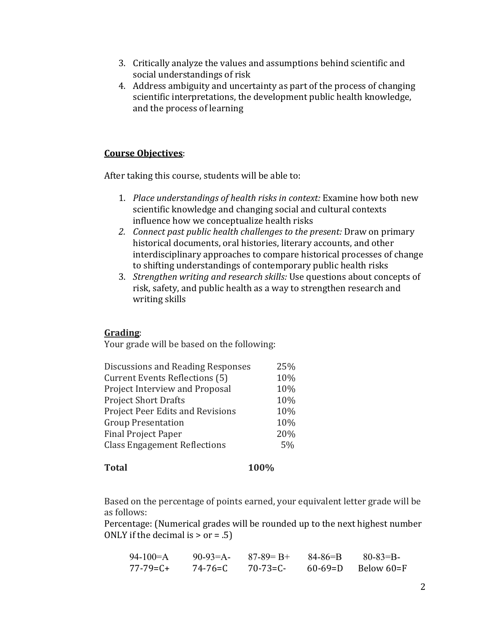- 3. Critically analyze the values and assumptions behind scientific and social understandings of risk
- 4. Address ambiguity and uncertainty as part of the process of changing scientific interpretations, the development public health knowledge, and the process of learning

# **Course Objectives**:

After taking this course, students will be able to:

- 1. *Place understandings of health risks in context:* Examine how both new scientific knowledge and changing social and cultural contexts influence how we conceptualize health risks
- *2. Connect past public health challenges to the present:* Draw on primary historical documents, oral histories, literary accounts, and other interdisciplinary approaches to compare historical processes of change to shifting understandings of contemporary public health risks
- 3. *Strengthen writing and research skills:* Use questions about concepts of risk, safety, and public health as a way to strengthen research and writing skills

# **Grading**:

Your grade will be based on the following:

| Discussions and Reading Responses       | 25% |
|-----------------------------------------|-----|
| <b>Current Events Reflections (5)</b>   | 10% |
| Project Interview and Proposal          | 10% |
| <b>Project Short Drafts</b>             | 10% |
| <b>Project Peer Edits and Revisions</b> | 10% |
| <b>Group Presentation</b>               | 10% |
| <b>Final Project Paper</b>              | 20% |
| <b>Class Engagement Reflections</b>     | 5%  |
|                                         |     |

### **Total 100%**

Based on the percentage of points earned, your equivalent letter grade will be as follows:

Percentage: (Numerical grades will be rounded up to the next highest number ONLY if the decimal is  $>$  or = .5)

| $94-100=A$      | $90-93=A-$ | $87 - 89 = B +$ | 84-86=B       | $80 - 83 = B$ |
|-----------------|------------|-----------------|---------------|---------------|
| $77 - 79 = C +$ | 74-76=C    | $70 - 73 = C$   | $60 - 69 = D$ | Below 60=F    |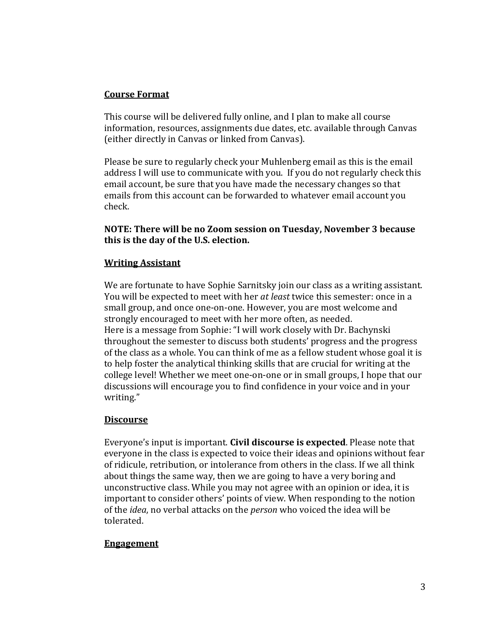# **Course Format**

This course will be delivered fully online, and I plan to make all course information, resources, assignments due dates, etc. available through Canvas (either directly in Canvas or linked from Canvas).

Please be sure to regularly check your Muhlenberg email as this is the email address I will use to communicate with you. If you do not regularly check this email account, be sure that you have made the necessary changes so that emails from this account can be forwarded to whatever email account you check.

# **NOTE: There will be no Zoom session on Tuesday, November 3 because this is the day of the U.S. election.**

# **Writing Assistant**

We are fortunate to have Sophie Sarnitsky join our class as a writing assistant. You will be expected to meet with her *at least* twice this semester: once in a small group, and once one-on-one. However, you are most welcome and strongly encouraged to meet with her more often, as needed. Here is a message from Sophie: "I will work closely with Dr. Bachynski throughout the semester to discuss both students' progress and the progress of the class as a whole. You can think of me as a fellow student whose goal it is to help foster the analytical thinking skills that are crucial for writing at the college level! Whether we meet one-on-one or in small groups, I hope that our discussions will encourage you to find confidence in your voice and in your writing."

# **Discourse**

Everyone's input is important. **Civil discourse is expected**. Please note that everyone in the class is expected to voice their ideas and opinions without fear of ridicule, retribution, or intolerance from others in the class. If we all think about things the same way, then we are going to have a very boring and unconstructive class. While you may not agree with an opinion or idea, it is important to consider others' points of view. When responding to the notion of the *idea*, no verbal attacks on the *person* who voiced the idea will be tolerated.

# **Engagement**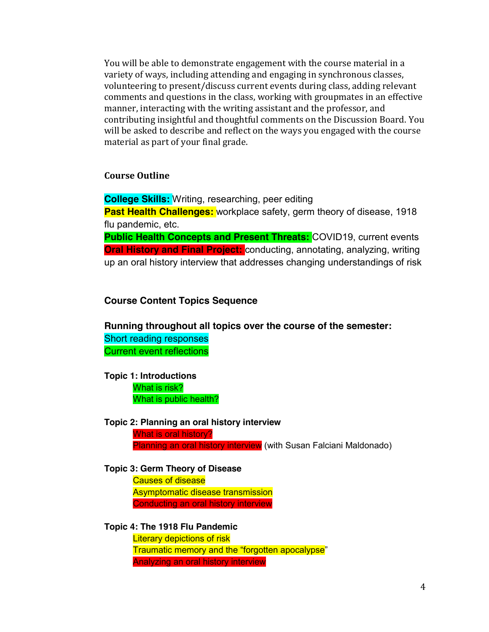You will be able to demonstrate engagement with the course material in a variety of ways, including attending and engaging in synchronous classes, volunteering to present/discuss current events during class, adding relevant comments and questions in the class, working with groupmates in an effective manner, interacting with the writing assistant and the professor, and contributing insightful and thoughtful comments on the Discussion Board. You will be asked to describe and reflect on the ways you engaged with the course material as part of your final grade.

### **Course Outline**

**College Skills:** Writing, researching, peer editing

**Past Health Challenges:** workplace safety, germ theory of disease, 1918 flu pandemic, etc.

**Public Health Concepts and Present Threats: COVID19, current events Oral History and Final Project:** conducting, annotating, analyzing, writing up an oral history interview that addresses changing understandings of risk

#### **Course Content Topics Sequence**

**Running throughout all topics over the course of the semester:** Short reading responses Current event reflections

**Topic 1: Introductions**  What is risk? What is public health?

#### **Topic 2: Planning an oral history interview**

What is oral history? Planning an oral history interview (with Susan Falciani Maldonado)

### **Topic 3: Germ Theory of Disease**

Causes of disease Asymptomatic disease transmission Conducting an oral history interview

#### **Topic 4: The 1918 Flu Pandemic**

Literary depictions of risk Traumatic memory and the "forgotten apocalypse" Analyzing an oral history interview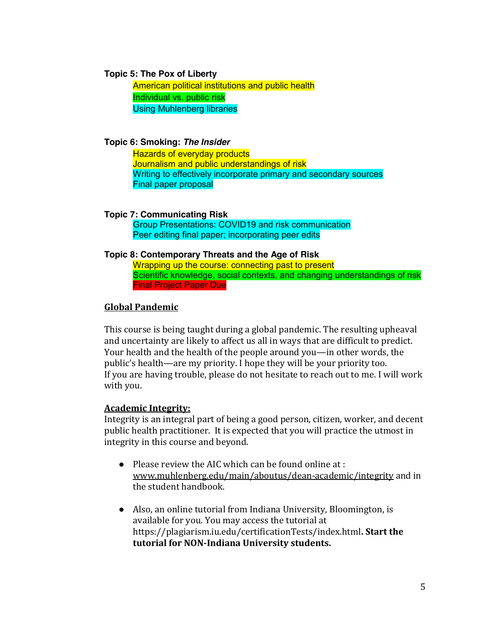#### **Topic 5: The Pox of Liberty**

American political institutions and public health Individual vs. public risk Using Muhlenberg libraries

**Topic 6: Smoking:** *The Insider*

Hazards of everyday products Journalism and public understandings of risk Writing to effectively incorporate primary and secondary sources Final paper proposal

**Topic 7: Communicating Risk**

Group Presentations: COVID19 and risk communication Peer editing final paper; incorporating peer edits

#### **Topic 8: Contemporary Threats and the Age of Risk**

Wrapping up the course: connecting past to present Scientific knowledge, social contexts, and changing understandings of risk Final Project Paper Due

### **Global Pandemic**

This course is being taught during a global pandemic. The resulting upheaval and uncertainty are likely to affect us all in ways that are difficult to predict. Your health and the health of the people around you—in other words, the public's health—are my priority. I hope they will be your priority too. If you are having trouble, please do not hesitate to reach out to me. I will work with you.

### **Academic Integrity:**

Integrity is an integral part of being a good person, citizen, worker, and decent public health practitioner. It is expected that you will practice the utmost in integrity in this course and beyond.

- Please review the AIC which can be found online at : [www.muhlenberg.edu/main/aboutus/dean-academic/integrity](http://www.muhlenberg.edu/main/aboutus/dean-academic/integrity) and in the student handbook.
- Also, an online tutorial from Indiana University, Bloomington, is available for you. You may access the tutorial at https://plagiarism.iu.edu/certificationTests/index.html**. Start the tutorial for NON-Indiana University students.**